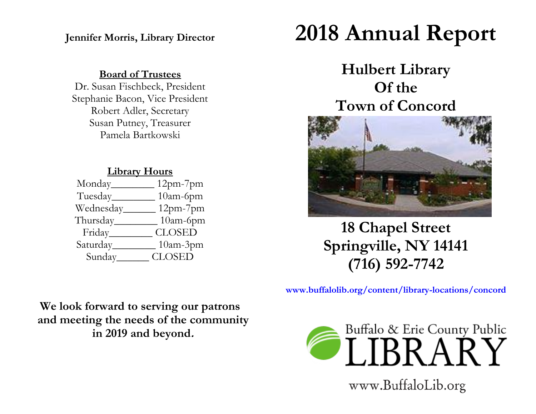# **Jennifer Morris, Library Director**

# **Board of Trustees**

Dr. Susan Fischbeck, President Stephanie Bacon, Vice President Robert Adler, Secretary Susan Putney, Treasurer Pamela Bartkowski

# **Library Hours**

| Monday    | $12$ pm- $7$ pm |
|-----------|-----------------|
| Tuesday_  | 10am-6pm        |
| Wednesday | $12$ pm- $7$ pm |
| Thursday_ | $10$ am-6pm     |
| Friday    | <b>CLOSED</b>   |
| Saturday  | $10$ am- $3$ pm |
| Sunday    | <b>CLOSED</b>   |
|           |                 |

# **2018 Annual Report**

**Hulbert Library Of the Town of Concord**



**18 Chapel Street Springville, NY 14141 (716) 592-7742**

**[www.buffalolib.org/content/library-locations/concord](http://www.buffalolib.org/content/library-locations/concord)**

**We look forward to serving our patrons and meeting the needs of the community in 2019 and beyond.**



www.BuffaloLib.org